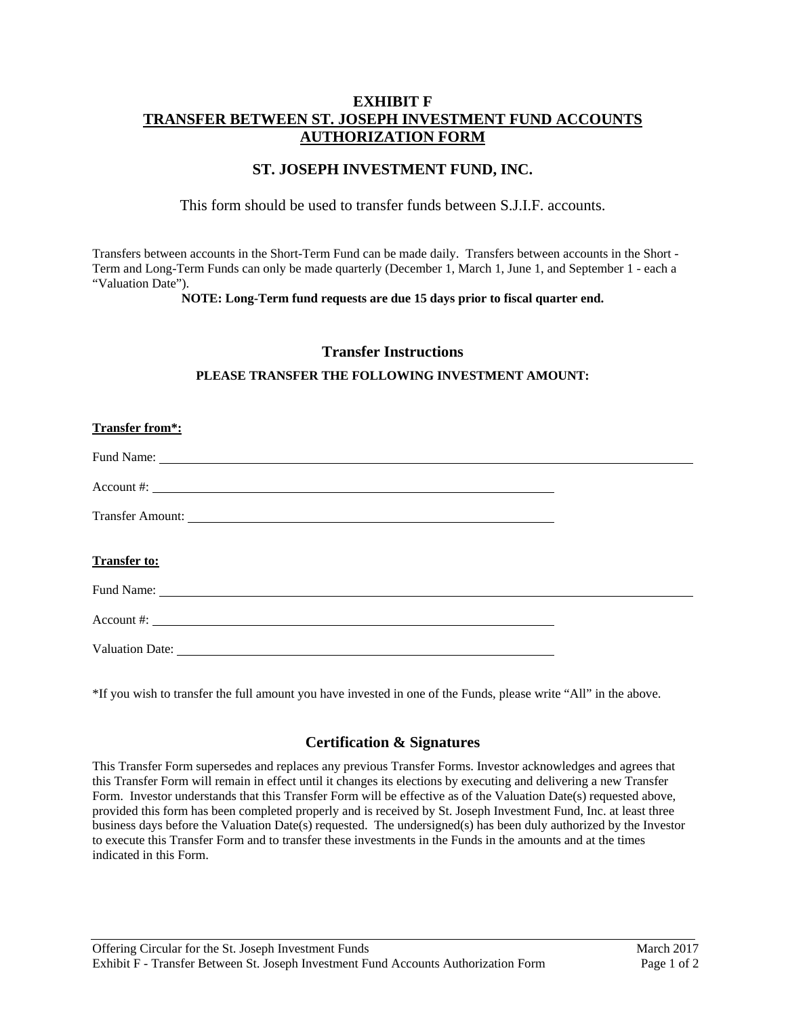# **EXHIBIT F TRANSFER BETWEEN ST. JOSEPH INVESTMENT FUND ACCOUNTS AUTHORIZATION FORM**

# **ST. JOSEPH INVESTMENT FUND, INC.**

### This form should be used to transfer funds between S.J.I.F. accounts.

Transfers between accounts in the Short-Term Fund can be made daily. Transfers between accounts in the Short - Term and Long-Term Funds can only be made quarterly (December 1, March 1, June 1, and September 1 - each a "Valuation Date").

**NOTE: Long-Term fund requests are due 15 days prior to fiscal quarter end.** 

### **Transfer Instructions**

#### **PLEASE TRANSFER THE FOLLOWING INVESTMENT AMOUNT:**

### **Transfer from\*:**

Valuation Date:

\*If you wish to transfer the full amount you have invested in one of the Funds, please write "All" in the above.

# **Certification & Signatures**

This Transfer Form supersedes and replaces any previous Transfer Forms. Investor acknowledges and agrees that this Transfer Form will remain in effect until it changes its elections by executing and delivering a new Transfer Form. Investor understands that this Transfer Form will be effective as of the Valuation Date(s) requested above, provided this form has been completed properly and is received by St. Joseph Investment Fund, Inc. at least three business days before the Valuation Date(s) requested. The undersigned(s) has been duly authorized by the Investor to execute this Transfer Form and to transfer these investments in the Funds in the amounts and at the times indicated in this Form.